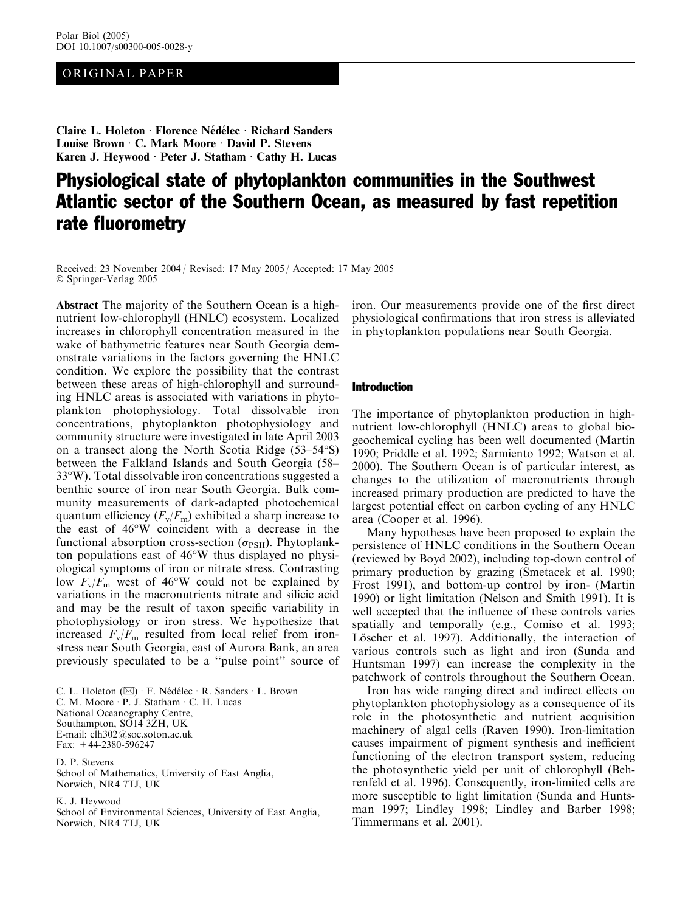# ORIGINAL PAPER

Claire L. Holeton · Florence Nédélec · Richard Sanders Louise Brown  $\cdot$  C. Mark Moore  $\cdot$  David P. Stevens Karen J. Heywood · Peter J. Statham  $\cdot$  Cathy H. Lucas

# Physiological state of phytoplankton communities in the Southwest Atlantic sector of the Southern Ocean, as measured by fast repetition rate fluorometry

Received: 23 November 2004 / Revised: 17 May 2005 / Accepted: 17 May 2005 Springer-Verlag 2005

Abstract The majority of the Southern Ocean is a highnutrient low-chlorophyll (HNLC) ecosystem. Localized increases in chlorophyll concentration measured in the wake of bathymetric features near South Georgia demonstrate variations in the factors governing the HNLC condition. We explore the possibility that the contrast between these areas of high-chlorophyll and surrounding HNLC areas is associated with variations in phytoplankton photophysiology. Total dissolvable iron concentrations, phytoplankton photophysiology and community structure were investigated in late April 2003 on a transect along the North Scotia Ridge (53–54°S) between the Falkland Islands and South Georgia (58– 33°W). Total dissolvable iron concentrations suggested a benthic source of iron near South Georgia. Bulk community measurements of dark-adapted photochemical quantum efficiency  $(F_v/F_m)$  exhibited a sharp increase to the east of 46°W coincident with a decrease in the functional absorption cross-section ( $\sigma_{PSII}$ ). Phytoplankton populations east of 46°W thus displayed no physiological symptoms of iron or nitrate stress. Contrasting low  $F_v/F_m$  west of 46°W could not be explained by variations in the macronutrients nitrate and silicic acid and may be the result of taxon specific variability in photophysiology or iron stress. We hypothesize that increased  $F_v/F_m$  resulted from local relief from ironstress near South Georgia, east of Aurora Bank, an area previously speculated to be a ''pulse point'' source of

D. P. Stevens School of Mathematics, University of East Anglia, Norwich, NR4 7TJ, UK

K. J. Heywood School of Environmental Sciences, University of East Anglia, Norwich, NR4 7TJ, UK

iron. Our measurements provide one of the first direct physiological confirmations that iron stress is alleviated in phytoplankton populations near South Georgia.

## Introduction

The importance of phytoplankton production in highnutrient low-chlorophyll (HNLC) areas to global biogeochemical cycling has been well documented (Martin 1990; Priddle et al. 1992; Sarmiento 1992; Watson et al. 2000). The Southern Ocean is of particular interest, as changes to the utilization of macronutrients through increased primary production are predicted to have the largest potential effect on carbon cycling of any HNLC area (Cooper et al. 1996).

Many hypotheses have been proposed to explain the persistence of HNLC conditions in the Southern Ocean (reviewed by Boyd 2002), including top-down control of primary production by grazing (Smetacek et al. 1990; Frost 1991), and bottom-up control by iron- (Martin 1990) or light limitation (Nelson and Smith 1991). It is well accepted that the influence of these controls varies spatially and temporally (e.g., Comiso et al. 1993; Löscher et al. 1997). Additionally, the interaction of various controls such as light and iron (Sunda and Huntsman 1997) can increase the complexity in the patchwork of controls throughout the Southern Ocean.

Iron has wide ranging direct and indirect effects on phytoplankton photophysiology as a consequence of its role in the photosynthetic and nutrient acquisition machinery of algal cells (Raven 1990). Iron-limitation causes impairment of pigment synthesis and inefficient functioning of the electron transport system, reducing the photosynthetic yield per unit of chlorophyll (Behrenfeld et al. 1996). Consequently, iron-limited cells are more susceptible to light limitation (Sunda and Huntsman 1997; Lindley 1998; Lindley and Barber 1998; Timmermans et al. 2001).

C. L. Holeton  $(\boxtimes) \cdot F$ . Nédélec  $\cdot$  R. Sanders  $\cdot$  L. Brown C. M. Moore  $\cdot$  P. J. Statham  $\cdot$  C. H. Lucas National Oceanography Centre, Southampton, SO14 3ZH, UK E-mail: clh302@soc.soton.ac.uk Fax: +44-2380-596247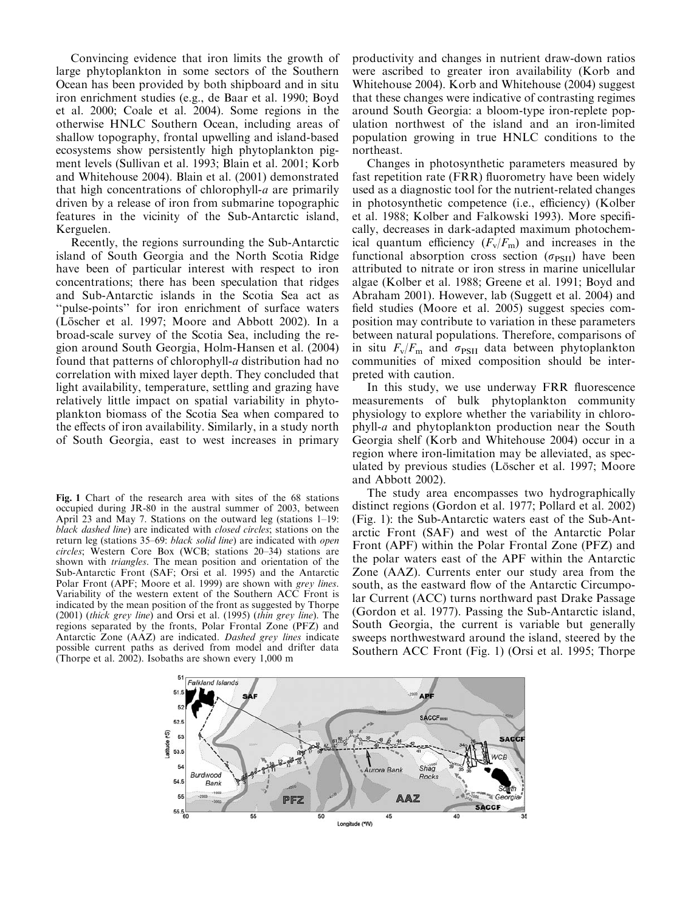Convincing evidence that iron limits the growth of large phytoplankton in some sectors of the Southern Ocean has been provided by both shipboard and in situ iron enrichment studies (e.g., de Baar et al. 1990; Boyd et al. 2000; Coale et al. 2004). Some regions in the otherwise HNLC Southern Ocean, including areas of shallow topography, frontal upwelling and island-based ecosystems show persistently high phytoplankton pigment levels (Sullivan et al. 1993; Blain et al. 2001; Korb and Whitehouse 2004). Blain et al. (2001) demonstrated that high concentrations of chlorophyll-a are primarily driven by a release of iron from submarine topographic features in the vicinity of the Sub-Antarctic island, Kerguelen.

Recently, the regions surrounding the Sub-Antarctic island of South Georgia and the North Scotia Ridge have been of particular interest with respect to iron concentrations; there has been speculation that ridges and Sub-Antarctic islands in the Scotia Sea act as ''pulse-points'' for iron enrichment of surface waters (Löscher et al. 1997; Moore and Abbott 2002). In a broad-scale survey of the Scotia Sea, including the region around South Georgia, Holm-Hansen et al. (2004) found that patterns of chlorophyll-a distribution had no correlation with mixed layer depth. They concluded that light availability, temperature, settling and grazing have relatively little impact on spatial variability in phytoplankton biomass of the Scotia Sea when compared to the effects of iron availability. Similarly, in a study north of South Georgia, east to west increases in primary

Fig. 1 Chart of the research area with sites of the 68 stations occupied during JR-80 in the austral summer of 2003, between April 23 and May 7. Stations on the outward leg (stations 1–19: black dashed line) are indicated with closed circles; stations on the return leg (stations 35–69: black solid line) are indicated with open circles; Western Core Box (WCB; stations 20–34) stations are shown with triangles. The mean position and orientation of the Sub-Antarctic Front (SAF; Orsi et al. 1995) and the Antarctic Polar Front (APF; Moore et al. 1999) are shown with grey lines. Variability of the western extent of the Southern ACC Front is indicated by the mean position of the front as suggested by Thorpe (2001) (thick grey line) and Orsi et al. (1995) (thin grey line). The regions separated by the fronts, Polar Frontal Zone (PFZ) and Antarctic Zone (AAZ) are indicated. Dashed grey lines indicate possible current paths as derived from model and drifter data (Thorpe et al. 2002). Isobaths are shown every 1,000 m

productivity and changes in nutrient draw-down ratios were ascribed to greater iron availability (Korb and Whitehouse 2004). Korb and Whitehouse (2004) suggest that these changes were indicative of contrasting regimes around South Georgia: a bloom-type iron-replete population northwest of the island and an iron-limited population growing in true HNLC conditions to the northeast.

Changes in photosynthetic parameters measured by fast repetition rate (FRR) fluorometry have been widely used as a diagnostic tool for the nutrient-related changes in photosynthetic competence (i.e., efficiency) (Kolber et al. 1988; Kolber and Falkowski 1993). More specifically, decreases in dark-adapted maximum photochemical quantum efficiency  $(F_v/F_m)$  and increases in the functional absorption cross section  $(\sigma_{\text{PSII}})$  have been attributed to nitrate or iron stress in marine unicellular algae (Kolber et al. 1988; Greene et al. 1991; Boyd and Abraham 2001). However, lab (Suggett et al. 2004) and field studies (Moore et al. 2005) suggest species composition may contribute to variation in these parameters between natural populations. Therefore, comparisons of in situ  $F_v/F_m$  and  $\sigma_{PSII}$  data between phytoplankton communities of mixed composition should be interpreted with caution.

In this study, we use underway FRR fluorescence measurements of bulk phytoplankton community physiology to explore whether the variability in chlorophyll-a and phytoplankton production near the South Georgia shelf (Korb and Whitehouse 2004) occur in a region where iron-limitation may be alleviated, as speculated by previous studies (Löscher et al. 1997; Moore and Abbott 2002).

The study area encompasses two hydrographically distinct regions (Gordon et al. 1977; Pollard et al. 2002) (Fig. 1): the Sub-Antarctic waters east of the Sub-Antarctic Front (SAF) and west of the Antarctic Polar Front (APF) within the Polar Frontal Zone (PFZ) and the polar waters east of the APF within the Antarctic Zone (AAZ). Currents enter our study area from the south, as the eastward flow of the Antarctic Circumpolar Current (ACC) turns northward past Drake Passage (Gordon et al. 1977). Passing the Sub-Antarctic island, South Georgia, the current is variable but generally sweeps northwestward around the island, steered by the Southern ACC Front (Fig. 1) (Orsi et al. 1995; Thorpe

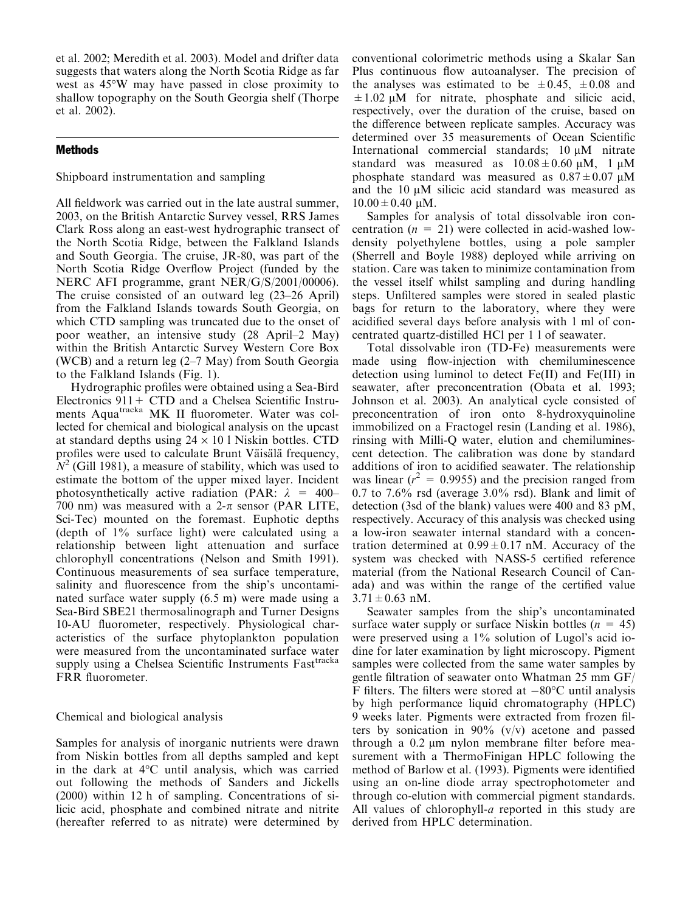et al. 2002; Meredith et al. 2003). Model and drifter data suggests that waters along the North Scotia Ridge as far west as 45°W may have passed in close proximity to shallow topography on the South Georgia shelf (Thorpe et al. 2002).

# **Methods**

Shipboard instrumentation and sampling

All fieldwork was carried out in the late austral summer, 2003, on the British Antarctic Survey vessel, RRS James Clark Ross along an east-west hydrographic transect of the North Scotia Ridge, between the Falkland Islands and South Georgia. The cruise, JR-80, was part of the North Scotia Ridge Overflow Project (funded by the NERC AFI programme, grant NER/G/S/2001/00006). The cruise consisted of an outward leg (23–26 April) from the Falkland Islands towards South Georgia, on which CTD sampling was truncated due to the onset of poor weather, an intensive study (28 April–2 May) within the British Antarctic Survey Western Core Box (WCB) and a return leg (2–7 May) from South Georgia to the Falkland Islands (Fig. 1).

Hydrographic profiles were obtained using a Sea-Bird Electronics  $911 + CTD$  and a Chelsea Scientific Instruments Aqua<sup>tracka</sup> MK II fluorometer. Water was collected for chemical and biological analysis on the upcast at standard depths using  $24 \times 10$  l Niskin bottles. CTD profiles were used to calculate Brunt Väisälä frequency,  $N^2$  (Gill 1981), a measure of stability, which was used to estimate the bottom of the upper mixed layer. Incident photosynthetically active radiation (PAR:  $\lambda = 400-$ 700 nm) was measured with a 2- $\pi$  sensor (PAR LITE, Sci-Tec) mounted on the foremast. Euphotic depths (depth of 1% surface light) were calculated using a relationship between light attenuation and surface chlorophyll concentrations (Nelson and Smith 1991). Continuous measurements of sea surface temperature, salinity and fluorescence from the ship's uncontaminated surface water supply (6.5 m) were made using a Sea-Bird SBE21 thermosalinograph and Turner Designs 10-AU fluorometer, respectively. Physiological characteristics of the surface phytoplankton population were measured from the uncontaminated surface water supply using a Chelsea Scientific Instruments Fast<sup>tracka</sup> FRR fluorometer.

# Chemical and biological analysis

Samples for analysis of inorganic nutrients were drawn from Niskin bottles from all depths sampled and kept in the dark at  $4^{\circ}$ C until analysis, which was carried out following the methods of Sanders and Jickells (2000) within 12 h of sampling. Concentrations of silicic acid, phosphate and combined nitrate and nitrite (hereafter referred to as nitrate) were determined by

conventional colorimetric methods using a Skalar San Plus continuous flow autoanalyser. The precision of the analyses was estimated to be  $\pm 0.45$ ,  $\pm 0.08$  and  $\pm 1.02 \mu M$  for nitrate, phosphate and silicic acid, respectively, over the duration of the cruise, based on the difference between replicate samples. Accuracy was determined over 35 measurements of Ocean Scientific International commercial standards;  $10 \mu M$  nitrate standard was measured as  $10.08 \pm 0.60 \mu M$ , 1  $\mu$ M phosphate standard was measured as  $0.87 \pm 0.07$   $\mu$ M and the  $10 \mu M$  silicic acid standard was measured as  $10.00 \pm 0.40 \mu M$ .

Samples for analysis of total dissolvable iron concentration  $(n = 21)$  were collected in acid-washed lowdensity polyethylene bottles, using a pole sampler (Sherrell and Boyle 1988) deployed while arriving on station. Care was taken to minimize contamination from the vessel itself whilst sampling and during handling steps. Unfiltered samples were stored in sealed plastic bags for return to the laboratory, where they were acidified several days before analysis with 1 ml of concentrated quartz-distilled HCl per 1 l of seawater.

Total dissolvable iron (TD-Fe) measurements were made using flow-injection with chemiluminescence detection using luminol to detect Fe(II) and Fe(III) in seawater, after preconcentration (Obata et al. 1993; Johnson et al. 2003). An analytical cycle consisted of preconcentration of iron onto 8-hydroxyquinoline immobilized on a Fractogel resin (Landing et al. 1986), rinsing with Milli-Q water, elution and chemiluminescent detection. The calibration was done by standard additions of iron to acidified seawater. The relationship was linear ( $r^2 = 0.9955$ ) and the precision ranged from  $0.7$  to  $7.6\%$  rsd (average  $3.0\%$  rsd). Blank and limit of detection (3sd of the blank) values were 400 and 83 pM, respectively. Accuracy of this analysis was checked using a low-iron seawater internal standard with a concentration determined at  $0.99 \pm 0.17$  nM. Accuracy of the system was checked with NASS-5 certified reference material (from the National Research Council of Canada) and was within the range of the certified value  $3.71 \pm 0.63$  nM.

Seawater samples from the ship's uncontaminated surface water supply or surface Niskin bottles ( $n = 45$ ) were preserved using a 1% solution of Lugol's acid iodine for later examination by light microscopy. Pigment samples were collected from the same water samples by gentle filtration of seawater onto Whatman 25 mm GF/ F filters. The filters were stored at  $-80^{\circ}$ C until analysis by high performance liquid chromatography (HPLC) 9 weeks later. Pigments were extracted from frozen filters by sonication in 90%  $(v/v)$  acetone and passed through a 0.2 µm nylon membrane filter before measurement with a ThermoFinigan HPLC following the method of Barlow et al. (1993). Pigments were identified using an on-line diode array spectrophotometer and through co-elution with commercial pigment standards. All values of chlorophyll-*a* reported in this study are derived from HPLC determination.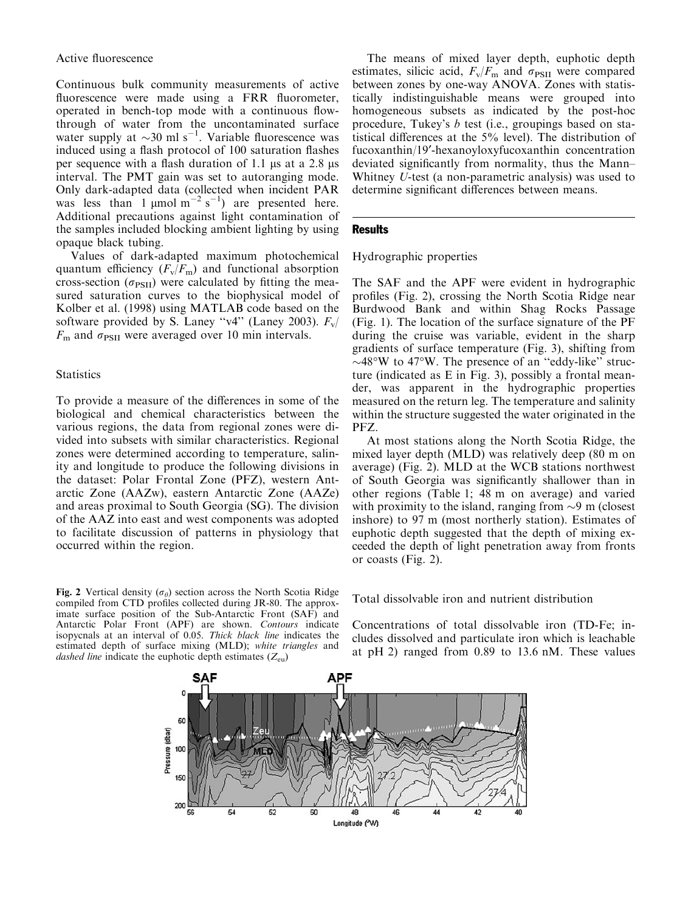Continuous bulk community measurements of active fluorescence were made using a FRR fluorometer, operated in bench-top mode with a continuous flowthrough of water from the uncontaminated surface water supply at  $\sim$ 30 ml s<sup>-1</sup>. Variable fluorescence was induced using a flash protocol of 100 saturation flashes per sequence with a flash duration of 1.1  $\mu$ s at a 2.8  $\mu$ s interval. The PMT gain was set to autoranging mode. Only dark-adapted data (collected when incident PAR was less than 1  $\mu$ mol m<sup>-2</sup> s<sup>-1</sup>) are presented here. Additional precautions against light contamination of the samples included blocking ambient lighting by using opaque black tubing.

Values of dark-adapted maximum photochemical quantum efficiency  $(F_v/F_m)$  and functional absorption cross-section  $(\sigma_{\text{PSII}})$  were calculated by fitting the measured saturation curves to the biophysical model of Kolber et al. (1998) using MATLAB code based on the software provided by S. Laney "v4" (Laney 2003).  $F_v/$  $F<sub>m</sub>$  and  $\sigma<sub>PSII</sub>$  were averaged over 10 min intervals.

## **Statistics**

To provide a measure of the differences in some of the biological and chemical characteristics between the various regions, the data from regional zones were divided into subsets with similar characteristics. Regional zones were determined according to temperature, salinity and longitude to produce the following divisions in the dataset: Polar Frontal Zone (PFZ), western Antarctic Zone (AAZw), eastern Antarctic Zone (AAZe) and areas proximal to South Georgia (SG). The division of the AAZ into east and west components was adopted to facilitate discussion of patterns in physiology that occurred within the region.

The means of mixed layer depth, euphotic depth estimates, silicic acid,  $F_v/F_m$  and  $\sigma_{\text{PSII}}$  were compared between zones by one-way ANOVA. Zones with statistically indistinguishable means were grouped into homogeneous subsets as indicated by the post-hoc procedure, Tukey's b test (i.e., groupings based on statistical differences at the 5% level). The distribution of fucoxanthin/19¢-hexanoyloxyfucoxanthin concentration deviated significantly from normality, thus the Mann– Whitney U-test (a non-parametric analysis) was used to determine significant differences between means.

#### Results

Hydrographic properties

The SAF and the APF were evident in hydrographic profiles (Fig. 2), crossing the North Scotia Ridge near Burdwood Bank and within Shag Rocks Passage (Fig. 1). The location of the surface signature of the PF during the cruise was variable, evident in the sharp gradients of surface temperature (Fig. 3), shifting from  $\sim$ 48°W to 47°W. The presence of an "eddy-like" structure (indicated as E in Fig. 3), possibly a frontal meander, was apparent in the hydrographic properties measured on the return leg. The temperature and salinity within the structure suggested the water originated in the PFZ.

At most stations along the North Scotia Ridge, the mixed layer depth (MLD) was relatively deep (80 m on average) (Fig. 2). MLD at the WCB stations northwest of South Georgia was significantly shallower than in other regions (Table 1; 48 m on average) and varied with proximity to the island, ranging from  $\sim$ 9 m (closest inshore) to 97 m (most northerly station). Estimates of euphotic depth suggested that the depth of mixing exceeded the depth of light penetration away from fronts or coasts (Fig. 2).

Fig. 2 Vertical density ( $\sigma_{\theta}$ ) section across the North Scotia Ridge compiled from CTD profiles collected during JR-80. The approximate surface position of the Sub-Antarctic Front (SAF) and Antarctic Polar Front (APF) are shown. Contours indicate isopycnals at an interval of 0.05. Thick black line indicates the estimated depth of surface mixing (MLD); white triangles and dashed line indicate the euphotic depth estimates  $(Z_{eu})$ 

Total dissolvable iron and nutrient distribution

Concentrations of total dissolvable iron (TD-Fe; includes dissolved and particulate iron which is leachable at pH 2) ranged from 0.89 to 13.6 nM. These values

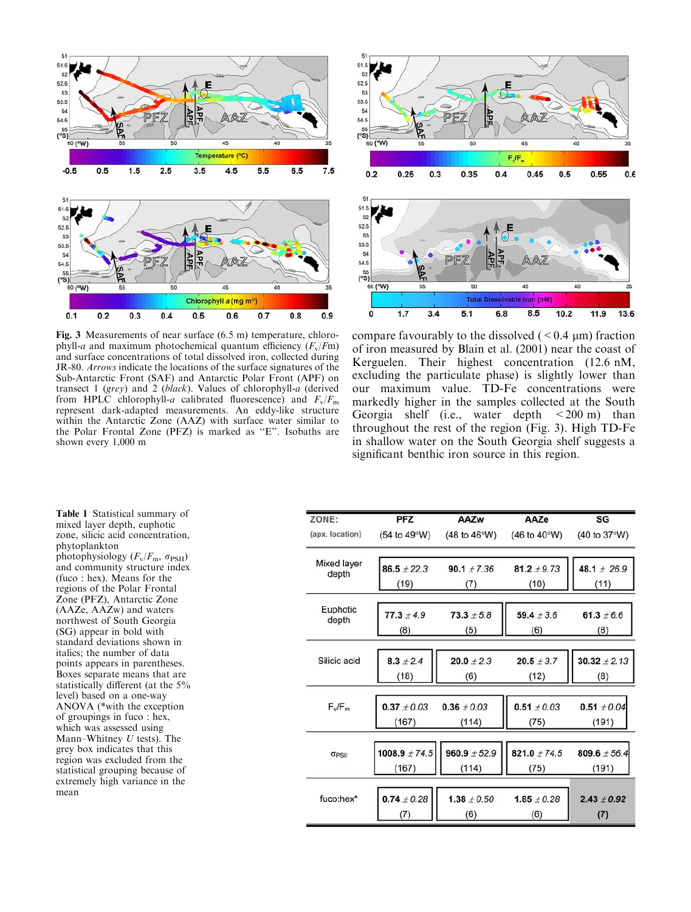



Fig. 3 Measurements of near surface (6.5 m) temperature, chlorophyll-a and maximum photochemical quantum efficiency  $(F_v/Fm)$ and surface concentrations of total dissolved iron, collected during JR-80. Arrows indicate the locations of the surface signatures of the Sub-Antarctic Front (SAF) and Antarctic Polar Front (APF) on transect 1 (grey) and 2 (black). Values of chlorophyll-a (derived from HPLC chlorophyll-a calibrated fluorescence) and  $F_v/F_m$ represent dark-adapted measurements. An eddy-like structure within the Antarctic Zone (AAZ) with surface water similar to the Polar Frontal Zone (PFZ) is marked as ''E''. Isobaths are shown every 1,000 m

compare favourably to the dissolved  $(< 0.4 \mu m)$  fraction of iron measured by Blain et al. (2001) near the coast of Kerguelen. Their highest concentration (12.6 nM, excluding the particulate phase) is slightly lower than our maximum value. TD-Fe concentrations were markedly higher in the samples collected at the South Georgia shelf (i.e., water depth  $\lt$  200 m) than throughout the rest of the region (Fig. 3). High TD-Fe in shallow water on the South Georgia shelf suggests a significant benthic iron source in this region.

Table 1 Statistical summary of mixed layer depth, euphotic zone, silicic acid concentration, phytoplankton photophysiology  $(F_v/F_m, \sigma_{\text{PSII}})$ and community structure index (fuco : hex). Means for the regions of the Polar Frontal Zone (PFZ), Antarctic Zone (AAZe, AAZw) and waters northwest of South Georgia (SG) appear in bold with standard deviations shown in italics; the number of data points appears in parentheses. Boxes separate means that are statistically different (at the 5% level) based on a one-way ANOVA (\*with the exception of groupings in fuco : hex, which was assessed using Mann–Whitney  $U$  tests). The grey box indicates that this region was excluded from the statistical grouping because of extremely high variance in the mean

| ZONE:             | <b>PFZ</b>            | AAZw                | AAZe                                   | SG                    |
|-------------------|-----------------------|---------------------|----------------------------------------|-----------------------|
| (apx. location)   | (54 to 49°W)          | (48 to 46°W)        | $(46 \text{ to } 40^{\circ} \text{W})$ | (40 to 37°W)          |
| Mixed layer       | $86.5 \pm 22.3$       | $90.1 \pm 7.36$     | $81.2 \pm 9.73$                        | 48.1 $\pm$ 26.9       |
| depth             | (19)                  | (7)                 | (10)                                   | (11)                  |
| Euphotic<br>depth |                       |                     | $59.4 \pm 3.6$                         |                       |
|                   | $77.3 \pm 4.9$<br>(8) | $73.3 + 5.8$<br>(5) | (6)                                    | 61.3 $\pm 6.6$<br>(8) |
|                   |                       |                     |                                        |                       |
| Silicic acid      | $8.3 \pm 2.4$         | $20.0 \pm 2.3$      | $20.5 \pm 3.7$                         | $30.32 \pm 2.13$      |
|                   | (18)                  | (6)                 | (12)                                   | (8)                   |
| $F_v/F_m$         |                       |                     |                                        |                       |
|                   | $0.37 \pm 0.03$       | $0.36 \pm 0.03$     | $0.51 \pm 0.03$                        | $0.51 \pm 0.04$       |
|                   | (167)                 | (114)               | (75)                                   | (191)                 |
|                   |                       |                     |                                        |                       |
| OPSII             | $1008.9 \pm 74.5$     | $960.9 \pm 52.9$    | 821.0 $\pm$ 74.5                       | 809.6 $\pm$ 56.4      |
|                   | (167)                 | (114)               | (75)                                   | (191)                 |
|                   |                       |                     |                                        |                       |
| fuco:hex*         | $0.74 \pm 0.28$       | $1.38 \pm 0.50$     | $1.85 \pm 0.28$                        | $2.43 \pm 0.92$       |
|                   | (7)                   | (6)                 | (6)                                    | (7)                   |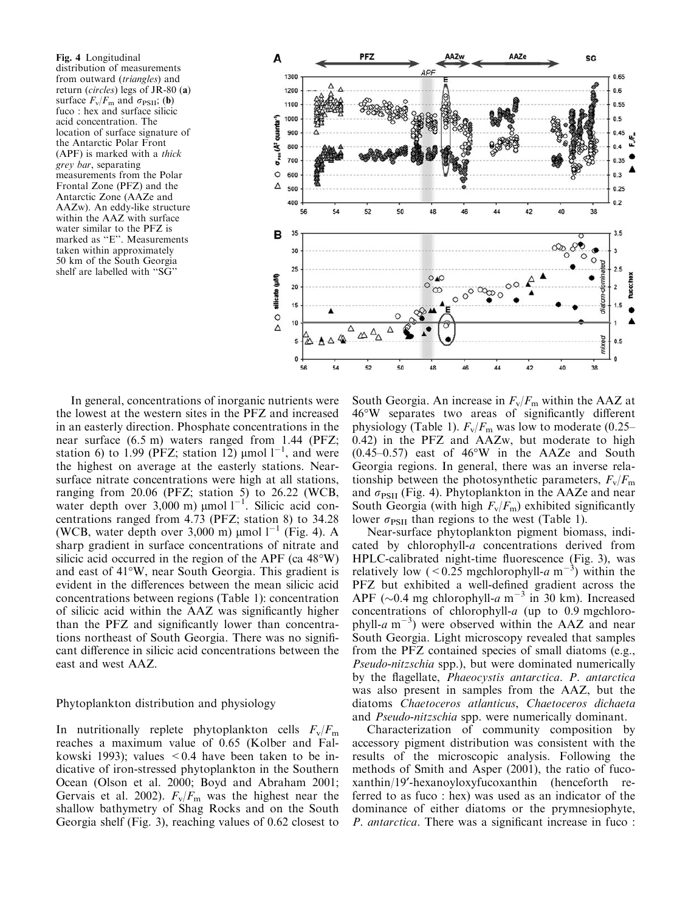Fig. 4 Longitudinal distribution of measurements from outward (triangles) and return (circles) legs of JR-80 (a) surface  $F_v/F_m$  and  $\sigma_{\text{PSII}}$ ; (b) fuco : hex and surface silicic acid concentration. The location of surface signature of the Antarctic Polar Front (APF) is marked with a thick grey bar, separating measurements from the Polar Frontal Zone (PFZ) and the Antarctic Zone (AAZe and AAZw). An eddy-like structure within the AAZ with surface water similar to the PFZ is marked as ''E''. Measurements taken within approximately 50 km of the South Georgia shelf are labelled with ''SG''



In general, concentrations of inorganic nutrients were the lowest at the western sites in the PFZ and increased in an easterly direction. Phosphate concentrations in the near surface (6.5 m) waters ranged from 1.44 (PFZ; station 6) to 1.99 (PFZ; station 12)  $\mu$ mol 1<sup>-1</sup>, and were the highest on average at the easterly stations. Nearsurface nitrate concentrations were high at all stations, ranging from 20.06 (PFZ; station 5) to 26.22 (WCB, water depth over  $3,000$  m)  $\mu$ mol  $1^{-1}$ . Silicic acid concentrations ranged from 4.73 (PFZ; station 8) to 34.28 (WCB, water depth over 3,000 m)  $\mu$ mol l<sup>-1</sup> (Fig. 4). A sharp gradient in surface concentrations of nitrate and silicic acid occurred in the region of the APF (ca  $48^{\circ}$ W) and east of 41°W, near South Georgia. This gradient is evident in the differences between the mean silicic acid concentrations between regions (Table 1): concentration of silicic acid within the AAZ was significantly higher than the PFZ and significantly lower than concentrations northeast of South Georgia. There was no significant difference in silicic acid concentrations between the east and west AAZ.

### Phytoplankton distribution and physiology

In nutritionally replete phytoplankton cells  $F_v/F_m$ reaches a maximum value of 0.65 (Kolber and Falkowski 1993); values  $\leq 0.4$  have been taken to be indicative of iron-stressed phytoplankton in the Southern Ocean (Olson et al. 2000; Boyd and Abraham 2001; Gervais et al. 2002).  $F_v/F_m$  was the highest near the shallow bathymetry of Shag Rocks and on the South Georgia shelf (Fig. 3), reaching values of 0.62 closest to

South Georgia. An increase in  $F_v/F_m$  within the AAZ at 46-W separates two areas of significantly different physiology (Table 1).  $F_v/F_m$  was low to moderate (0.25– 0.42) in the PFZ and AAZw, but moderate to high  $(0.45-0.57)$  east of  $46^{\circ}W$  in the AAZe and South Georgia regions. In general, there was an inverse relationship between the photosynthetic parameters,  $F_v/F_m$ and  $\sigma_{\text{PSII}}$  (Fig. 4). Phytoplankton in the AAZe and near South Georgia (with high  $F_v/F_m$ ) exhibited significantly lower  $\sigma_{PSII}$  than regions to the west (Table 1).

Near-surface phytoplankton pigment biomass, indicated by chlorophyll-a concentrations derived from HPLC-calibrated night-time fluorescence (Fig. 3), was relatively low (<0.25 mgchlorophyll-a m<sup>-3</sup>) within the PFZ but exhibited a well-defined gradient across the APF ( $\sim$ 0.4 mg chlorophyll-a m<sup>-3</sup> in 30 km). Increased concentrations of chlorophyll- $a$  (up to 0.9 mgchlorophyll-a  $m^{-3}$ ) were observed within the AAZ and near South Georgia. Light microscopy revealed that samples from the PFZ contained species of small diatoms (e.g., Pseudo-nitzschia spp.), but were dominated numerically by the flagellate, Phaeocystis antarctica. P. antarctica was also present in samples from the AAZ, but the diatoms Chaetoceros atlanticus, Chaetoceros dichaeta and Pseudo-nitzschia spp. were numerically dominant.

Characterization of community composition by accessory pigment distribution was consistent with the results of the microscopic analysis. Following the methods of Smith and Asper (2001), the ratio of fucoxanthin/19¢-hexanoyloxyfucoxanthin (henceforth referred to as fuco : hex) was used as an indicator of the dominance of either diatoms or the prymnesiophyte, P. antarctica. There was a significant increase in fuco :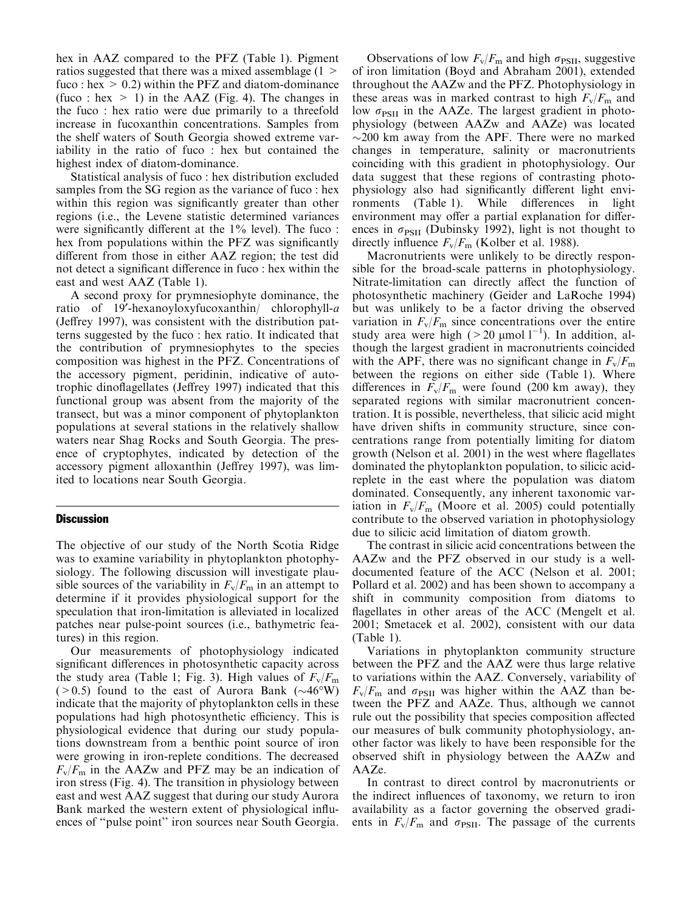hex in AAZ compared to the PFZ (Table 1). Pigment ratios suggested that there was a mixed assemblage (1 > fuco : hex  $> 0.2$ ) within the PFZ and diatom-dominance (fuco : hex  $> 1$ ) in the AAZ (Fig. 4). The changes in the fuco : hex ratio were due primarily to a threefold increase in fucoxanthin concentrations. Samples from the shelf waters of South Georgia showed extreme variability in the ratio of fuco : hex but contained the highest index of diatom-dominance.

Statistical analysis of fuco : hex distribution excluded samples from the SG region as the variance of fuco : hex within this region was significantly greater than other regions (i.e., the Levene statistic determined variances were significantly different at the 1% level). The fuco : hex from populations within the PFZ was significantly different from those in either AAZ region; the test did not detect a significant difference in fuco : hex within the east and west AAZ (Table 1).

A second proxy for prymnesiophyte dominance, the ratio of 19<sup>'</sup>-hexanoyloxyfucoxanthin/ chlorophyll-a (Jeffrey 1997), was consistent with the distribution patterns suggested by the fuco : hex ratio. It indicated that the contribution of prymnesiophytes to the species composition was highest in the PFZ. Concentrations of the accessory pigment, peridinin, indicative of autotrophic dinoflagellates (Jeffrey 1997) indicated that this functional group was absent from the majority of the transect, but was a minor component of phytoplankton populations at several stations in the relatively shallow waters near Shag Rocks and South Georgia. The presence of cryptophytes, indicated by detection of the accessory pigment alloxanthin (Jeffrey 1997), was limited to locations near South Georgia.

## **Discussion**

The objective of our study of the North Scotia Ridge was to examine variability in phytoplankton photophysiology. The following discussion will investigate plausible sources of the variability in  $F_v/F_m$  in an attempt to determine if it provides physiological support for the speculation that iron-limitation is alleviated in localized patches near pulse-point sources (i.e., bathymetric features) in this region.

Our measurements of photophysiology indicated significant differences in photosynthetic capacity across the study area (Table 1; Fig. 3). High values of  $F_v/F_m$  $(>0.5)$  found to the east of Aurora Bank  $(\sim46°W)$ indicate that the majority of phytoplankton cells in these populations had high photosynthetic efficiency. This is physiological evidence that during our study populations downstream from a benthic point source of iron were growing in iron-replete conditions. The decreased  $F_v/F_m$  in the AAZw and PFZ may be an indication of iron stress (Fig. 4). The transition in physiology between east and west AAZ suggest that during our study Aurora Bank marked the western extent of physiological influences of ''pulse point'' iron sources near South Georgia.

Observations of low  $F_v/F_m$  and high  $\sigma_{PSII}$ , suggestive of iron limitation (Boyd and Abraham 2001), extended throughout the AAZw and the PFZ. Photophysiology in these areas was in marked contrast to high  $F_v/F_m$  and low  $\sigma_{PSII}$  in the AAZe. The largest gradient in photophysiology (between AAZw and AAZe) was located  $\sim$ 200 km away from the APF. There were no marked changes in temperature, salinity or macronutrients coinciding with this gradient in photophysiology. Our data suggest that these regions of contrasting photophysiology also had significantly different light environments (Table 1). While differences in light environment may offer a partial explanation for differences in  $\sigma_{PSII}$  (Dubinsky 1992), light is not thought to directly influence  $F_v/F_m$  (Kolber et al. 1988).

Macronutrients were unlikely to be directly responsible for the broad-scale patterns in photophysiology. Nitrate-limitation can directly affect the function of photosynthetic machinery (Geider and LaRoche 1994) but was unlikely to be a factor driving the observed variation in  $F_v/F_m$  since concentrations over the entire study area were high ( $>$ 20 µmol l<sup>-1</sup>). In addition, although the largest gradient in macronutrients coincided with the APF, there was no significant change in  $F_v/F_m$ between the regions on either side (Table 1). Where differences in  $F_v/F_m$  were found (200 km away), they separated regions with similar macronutrient concentration. It is possible, nevertheless, that silicic acid might have driven shifts in community structure, since concentrations range from potentially limiting for diatom growth (Nelson et al. 2001) in the west where flagellates dominated the phytoplankton population, to silicic acidreplete in the east where the population was diatom dominated. Consequently, any inherent taxonomic variation in  $F_v/F_m$  (Moore et al. 2005) could potentially contribute to the observed variation in photophysiology due to silicic acid limitation of diatom growth.

The contrast in silicic acid concentrations between the AAZw and the PFZ observed in our study is a welldocumented feature of the ACC (Nelson et al. 2001; Pollard et al. 2002) and has been shown to accompany a shift in community composition from diatoms to flagellates in other areas of the ACC (Mengelt et al. 2001; Smetacek et al. 2002), consistent with our data (Table 1).

Variations in phytoplankton community structure between the PFZ and the AAZ were thus large relative to variations within the AAZ. Conversely, variability of  $F_{\rm v}/F_{\rm m}$  and  $\sigma_{\rm PSII}$  was higher within the AAZ than between the PFZ and AAZe. Thus, although we cannot rule out the possibility that species composition affected our measures of bulk community photophysiology, another factor was likely to have been responsible for the observed shift in physiology between the AAZw and AAZe.

In contrast to direct control by macronutrients or the indirect influences of taxonomy, we return to iron availability as a factor governing the observed gradients in  $F_v/F_m$  and  $\sigma_{\text{PSII}}$ . The passage of the currents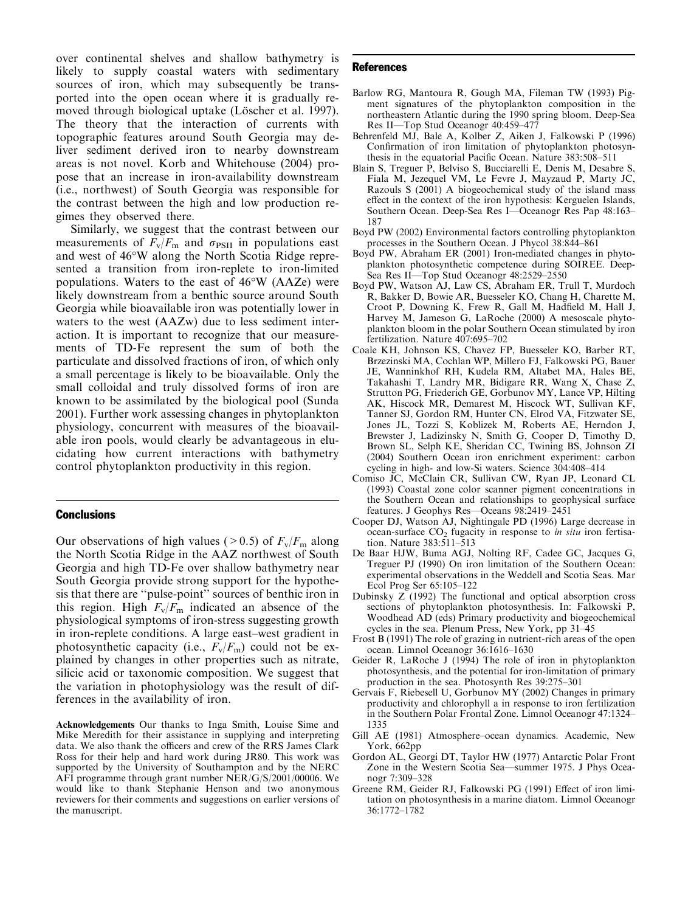over continental shelves and shallow bathymetry is likely to supply coastal waters with sedimentary sources of iron, which may subsequently be transported into the open ocean where it is gradually removed through biological uptake (Löscher et al. 1997). The theory that the interaction of currents with topographic features around South Georgia may deliver sediment derived iron to nearby downstream areas is not novel. Korb and Whitehouse (2004) propose that an increase in iron-availability downstream (i.e., northwest) of South Georgia was responsible for the contrast between the high and low production regimes they observed there.

Similarly, we suggest that the contrast between our measurements of  $F_v/F_m$  and  $\sigma_{PSII}$  in populations east and west of 46°W along the North Scotia Ridge represented a transition from iron-replete to iron-limited populations. Waters to the east of  $46^{\circ}W$  (AAZe) were likely downstream from a benthic source around South Georgia while bioavailable iron was potentially lower in waters to the west (AAZw) due to less sediment interaction. It is important to recognize that our measurements of TD-Fe represent the sum of both the particulate and dissolved fractions of iron, of which only a small percentage is likely to be bioavailable. Only the small colloidal and truly dissolved forms of iron are known to be assimilated by the biological pool (Sunda 2001). Further work assessing changes in phytoplankton physiology, concurrent with measures of the bioavailable iron pools, would clearly be advantageous in elucidating how current interactions with bathymetry control phytoplankton productivity in this region.

#### **Conclusions**

Our observations of high values ( $> 0.5$ ) of  $F_v/F_m$  along the North Scotia Ridge in the AAZ northwest of South Georgia and high TD-Fe over shallow bathymetry near South Georgia provide strong support for the hypothesis that there are ''pulse-point'' sources of benthic iron in this region. High  $F_v/F_m$  indicated an absence of the physiological symptoms of iron-stress suggesting growth in iron-replete conditions. A large east–west gradient in photosynthetic capacity (i.e.,  $F_v/F_m$ ) could not be explained by changes in other properties such as nitrate, silicic acid or taxonomic composition. We suggest that the variation in photophysiology was the result of differences in the availability of iron.

Acknowledgements Our thanks to Inga Smith, Louise Sime and Mike Meredith for their assistance in supplying and interpreting data. We also thank the officers and crew of the RRS James Clark Ross for their help and hard work during JR80. This work was supported by the University of Southampton and by the NERC AFI programme through grant number NER/G/S/2001/00006. We would like to thank Stephanie Henson and two anonymous reviewers for their comments and suggestions on earlier versions of the manuscript.

#### References

- Barlow RG, Mantoura R, Gough MA, Fileman TW (1993) Pigment signatures of the phytoplankton composition in the northeastern Atlantic during the 1990 spring bloom. Deep-Sea Res II—Top Stud Oceanogr 40:459–477
- Behrenfeld MJ, Bale A, Kolber Z, Aiken J, Falkowski P (1996) Confirmation of iron limitation of phytoplankton photosynthesis in the equatorial Pacific Ocean. Nature 383:508–511
- Blain S, Treguer P, Belviso S, Bucciarelli E, Denis M, Desabre S, Fiala M, Jezequel VM, Le Fevre J, Mayzaud P, Marty JC, Razouls S (2001) A biogeochemical study of the island mass effect in the context of the iron hypothesis: Kerguelen Islands, Southern Ocean. Deep-Sea Res I—Oceanogr Res Pap 48:163– 187
- Boyd PW (2002) Environmental factors controlling phytoplankton processes in the Southern Ocean. J Phycol 38:844–861
- Boyd PW, Abraham ER (2001) Iron-mediated changes in phytoplankton photosynthetic competence during SOIREE. Deep-Sea Res II—Top Stud Oceanogr 48:2529–2550
- Boyd PW, Watson AJ, Law CS, Abraham ER, Trull T, Murdoch R, Bakker D, Bowie AR, Buesseler KO, Chang H, Charette M, Croot P, Downing K, Frew R, Gall M, Hadfield M, Hall J, Harvey M, Jameson G, LaRoche (2000) A mesoscale phytoplankton bloom in the polar Southern Ocean stimulated by iron fertilization. Nature 407:695–702
- Coale KH, Johnson KS, Chavez FP, Buesseler KO, Barber RT, Brzezinski MA, Cochlan WP, Millero FJ, Falkowski PG, Bauer JE, Wanninkhof RH, Kudela RM, Altabet MA, Hales BE, Takahashi T, Landry MR, Bidigare RR, Wang X, Chase Z, Strutton PG, Friederich GE, Gorbunov MY, Lance VP, Hilting AK, Hiscock MR, Demarest M, Hiscock WT, Sullivan KF, Tanner SJ, Gordon RM, Hunter CN, Elrod VA, Fitzwater SE, Jones JL, Tozzi S, Koblizek M, Roberts AE, Herndon J, Brewster J, Ladizinsky N, Smith G, Cooper D, Timothy D, Brown SL, Selph KE, Sheridan CC, Twining BS, Johnson ZI (2004) Southern Ocean iron enrichment experiment: carbon cycling in high- and low-Si waters. Science 304:408–414
- Comiso JC, McClain CR, Sullivan CW, Ryan JP, Leonard CL (1993) Coastal zone color scanner pigment concentrations in the Southern Ocean and relationships to geophysical surface features. J Geophys Res—Oceans 98:2419–2451
- Cooper DJ, Watson AJ, Nightingale PD (1996) Large decrease in ocean-surface  $CO<sub>2</sub>$  fugacity in response to *in situ* iron fertisation. Nature 383:511–513
- De Baar HJW, Buma AGJ, Nolting RF, Cadee GC, Jacques G, Treguer PJ (1990) On iron limitation of the Southern Ocean: experimental observations in the Weddell and Scotia Seas. Mar Ecol Prog Ser 65:105–122
- Dubinsky Z (1992) The functional and optical absorption cross sections of phytoplankton photosynthesis. In: Falkowski P, Woodhead AD (eds) Primary productivity and biogeochemical cycles in the sea. Plenum Press, New York, pp 31–45
- Frost B (1991) The role of grazing in nutrient-rich areas of the open ocean. Limnol Oceanogr 36:1616–1630
- Geider R, LaRoche J (1994) The role of iron in phytoplankton photosynthesis, and the potential for iron-limitation of primary production in the sea. Photosynth Res 39:275–301
- Gervais F, Riebesell U, Gorbunov MY (2002) Changes in primary productivity and chlorophyll a in response to iron fertilization in the Southern Polar Frontal Zone. Limnol Oceanogr 47:1324– 1335
- Gill AE (1981) Atmosphere–ocean dynamics. Academic, New York, 662pp
- Gordon AL, Georgi DT, Taylor HW (1977) Antarctic Polar Front Zone in the Western Scotia Sea—summer 1975. J Phys Oceanogr 7:309–328
- Greene RM, Geider RJ, Falkowski PG (1991) Effect of iron limitation on photosynthesis in a marine diatom. Limnol Oceanogr 36:1772–1782